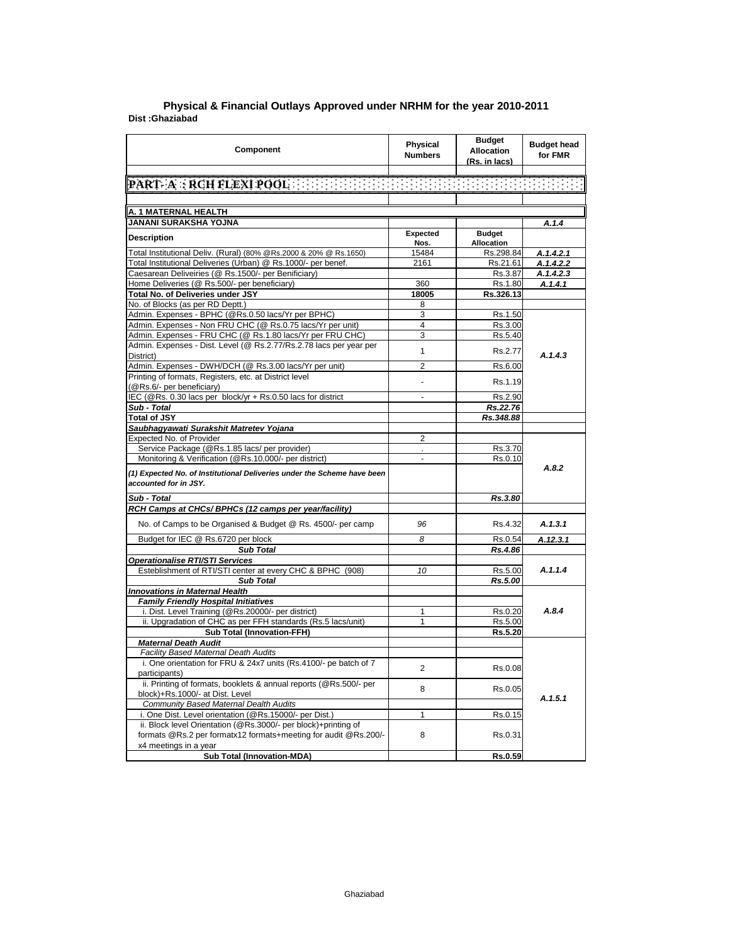| Component                                                                                                        | Physical<br><b>Numbers</b> | <b>Budget</b><br><b>Allocation</b><br>(Rs. in lacs) | <b>Budget head</b><br>for FMR |
|------------------------------------------------------------------------------------------------------------------|----------------------------|-----------------------------------------------------|-------------------------------|
|                                                                                                                  |                            |                                                     |                               |
|                                                                                                                  |                            |                                                     |                               |
|                                                                                                                  |                            |                                                     |                               |
| A. 1 MATERNAL HEALTH                                                                                             |                            |                                                     |                               |
| JANANI SURAKSHA YOJNA                                                                                            |                            |                                                     | A.1.4                         |
| Description                                                                                                      | Expected                   | <b>Budget</b>                                       |                               |
|                                                                                                                  | Nos.                       | <b>Allocation</b>                                   |                               |
| Total Institutional Deliv. (Rural) (80% @Rs.2000 & 20% @ Rs.1650)                                                | 15484                      | Rs.298.84                                           | A.1.4.2.1                     |
| Total Institutional Deliveries (Urban) @ Rs.1000/- per benef.                                                    | 2161                       | Rs.21.61                                            | A.1.4.2.2                     |
| Caesarean Deliveiries (@ Rs.1500/- per Benificiary)                                                              |                            | Rs.3.87                                             | A.1.4.2.3                     |
| Home Deliveries (@ Rs.500/- per beneficiary)                                                                     | 360                        | Rs.1.80                                             | A.1.4.1                       |
| Total No. of Deliveries under JSY                                                                                | 18005                      | Rs.326.13                                           |                               |
| No. of Blocks (as per RD Deptt.)                                                                                 | 8                          |                                                     |                               |
| Admin. Expenses - BPHC (@Rs.0.50 lacs/Yr per BPHC)                                                               | 3                          | Rs.1.50                                             |                               |
| Admin. Expenses - Non FRU CHC (@ Rs.0.75 lacs/Yr per unit)                                                       | 4                          | Rs.3.00                                             |                               |
| Admin. Expenses - FRU CHC (@ Rs.1.80 lacs/Yr per FRU CHC)                                                        | 3                          | Rs.5.40                                             |                               |
| Admin. Expenses - Dist. Level (@ Rs.2.77/Rs.2.78 lacs per year per                                               | $\mathbf{1}$               | Rs.2.77                                             |                               |
| District)                                                                                                        |                            |                                                     | A.1.4.3                       |
| Admin. Expenses - DWH/DCH (@ Rs.3.00 lacs/Yr per unit)<br>Printing of formats, Registers, etc. at District level | 2                          | Rs.6.00                                             |                               |
|                                                                                                                  |                            | Rs.1.19                                             |                               |
| (@Rs.6/- per beneficiary)<br>IEC (@Rs. 0.30 lacs per block/yr + Rs.0.50 lacs for district                        |                            |                                                     |                               |
| Sub - Total                                                                                                      | $\overline{\phantom{a}}$   | Rs.2.90                                             |                               |
| <b>Total of JSY</b>                                                                                              |                            | Rs.22.76                                            |                               |
| Saubhagyawati Surakshit Matretev Yojana                                                                          |                            | Rs.348.88                                           |                               |
| Expected No. of Provider                                                                                         | 2                          |                                                     |                               |
| Service Package (@Rs.1.85 lacs/ per provider)                                                                    |                            | Rs.3.70                                             |                               |
| Monitoring & Verification (@Rs.10,000/- per district)                                                            | $\sim$                     | Rs.0.10                                             |                               |
|                                                                                                                  |                            |                                                     | A.8.2                         |
| (1) Expected No. of Institutional Deliveries under the Scheme have been<br>accounted for in JSY.                 |                            |                                                     |                               |
| Sub - Total                                                                                                      |                            | Rs.3.80                                             |                               |
| RCH Camps at CHCs/ BPHCs (12 camps per year/facility)                                                            |                            |                                                     |                               |
| No. of Camps to be Organised & Budget @ Rs. 4500/- per camp                                                      | 96                         | Rs.4.32                                             | A.1.3.1                       |
| Budget for IEC @ Rs.6720 per block                                                                               | 8                          | Rs.0.54                                             | A.12.3.1                      |
| <b>Sub Total</b>                                                                                                 |                            | Rs.4.86                                             |                               |
| <b>Operationalise RTI/STI Services</b>                                                                           |                            |                                                     |                               |
| Esteblishment of RTI/STI center at every CHC & BPHC (908)                                                        | 10                         | Rs.5.00                                             | A.1.1.4                       |
| <b>Sub Total</b>                                                                                                 |                            | Rs.5.00                                             |                               |
| <b>Innovations in Maternal Health</b>                                                                            |                            |                                                     |                               |
| <b>Family Friendly Hospital Initiatives</b>                                                                      |                            |                                                     |                               |
| i. Dist. Level Training (@Rs.20000/- per district)                                                               | 1                          | Rs.0.20                                             | A.8.4                         |
| ii. Upgradation of CHC as per FFH standards (Rs.5 lacs/unit)                                                     | $\mathbf{1}$               | Rs.5.00                                             |                               |
| <b>Sub Total (Innovation-FFH)</b>                                                                                |                            | Rs.5.20                                             |                               |
| <b>Maternal Death Audit</b>                                                                                      |                            |                                                     |                               |
| <b>Facility Based Maternal Death Audits</b>                                                                      |                            |                                                     |                               |
| i. One orientation for FRU & 24x7 units (Rs.4100/- pe batch of 7<br>participants)                                | $\mathbf{z}$               | RS.0.08                                             |                               |
| ii. Printing of formats, booklets & annual reports (@Rs.500/- per                                                |                            |                                                     |                               |
| block)+Rs.1000/- at Dist. Level                                                                                  | 8                          | Rs.0.05                                             | A.1.5.1                       |
| <b>Community Based Maternal Dealth Audits</b>                                                                    |                            |                                                     |                               |
| i. One Dist. Level orientation (@Rs.15000/- per Dist.)                                                           | 1                          | Rs.0.15                                             |                               |
| ii. Block level Orientation (@Rs.3000/- per block)+printing of                                                   |                            |                                                     |                               |
| formats @Rs.2 per formatx12 formats+meeting for audit @Rs.200/-                                                  | 8                          | Rs.0.31                                             |                               |
| x4 meetings in a year                                                                                            |                            |                                                     |                               |
| <b>Sub Total (Innovation-MDA)</b>                                                                                |                            | Rs.0.59                                             |                               |

## **Dist :Ghaziabad District : Agra Physical & Financial Outlays Approved under NRHM for the year 2010-2011**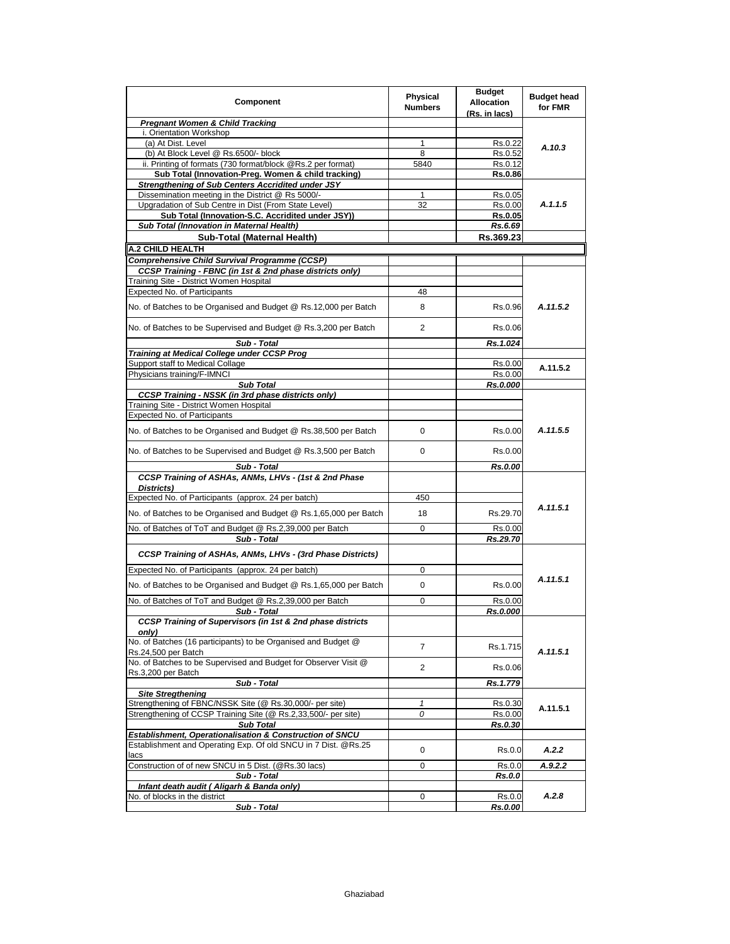| Component                                                                                                                  | Physical<br><b>Numbers</b> | <b>Budget</b><br><b>Allocation</b><br>(Rs. in lacs) | <b>Budget head</b><br>for FMR |
|----------------------------------------------------------------------------------------------------------------------------|----------------------------|-----------------------------------------------------|-------------------------------|
| <b>Pregnant Women &amp; Child Tracking</b>                                                                                 |                            |                                                     |                               |
| i. Orientation Workshop                                                                                                    |                            |                                                     |                               |
| (a) At Dist. Level                                                                                                         | 1                          | Rs.0.22                                             | A.10.3                        |
| (b) At Block Level @ Rs.6500/- block                                                                                       | 8                          | Rs.0.52                                             |                               |
| ii. Printing of formats (730 format/block @Rs.2 per format)                                                                | 5840                       | Rs.0.12                                             |                               |
| Sub Total (Innovation-Preg. Women & child tracking)                                                                        |                            | Rs.0.86                                             |                               |
| <b>Strengthening of Sub Centers Accridited under JSY</b>                                                                   |                            |                                                     |                               |
| Dissemination meeting in the District @ Rs 5000/-                                                                          | 1                          | Rs.0.05                                             |                               |
| Upgradation of Sub Centre in Dist (From State Level)                                                                       | 32                         | Rs.0.00                                             | A.1.1.5                       |
| Sub Total (Innovation-S.C. Accridited under JSY))                                                                          |                            | <b>Rs.0.05</b>                                      |                               |
| Sub Total (Innovation in Maternal Health)                                                                                  |                            | Rs.6.69                                             |                               |
| <b>Sub-Total (Maternal Health)</b>                                                                                         |                            | Rs.369.23                                           |                               |
| A.2 CHILD HEALTH                                                                                                           |                            |                                                     |                               |
| Comprehensive Child Survival Programme (CCSP)                                                                              |                            |                                                     |                               |
| CCSP Training - FBNC (in 1st & 2nd phase districts only)                                                                   |                            |                                                     |                               |
| Training Site - District Women Hospital                                                                                    |                            |                                                     |                               |
| Expected No. of Participants                                                                                               | 48                         |                                                     |                               |
| No. of Batches to be Organised and Budget @ Rs.12,000 per Batch                                                            | 8                          | Rs.0.96                                             | A.11.5.2                      |
| No. of Batches to be Supervised and Budget @ Rs.3,200 per Batch                                                            | $\overline{2}$             | Rs.0.06                                             |                               |
| Sub - Total                                                                                                                |                            | Rs.1.024                                            |                               |
| Training at Medical College under CCSP Prog                                                                                |                            |                                                     |                               |
| Support staff to Medical Collage                                                                                           |                            | Rs.0.00                                             | A.11.5.2                      |
| Physicians training/F-IMNCI                                                                                                |                            | Rs.0.00                                             |                               |
| <b>Sub Total</b>                                                                                                           |                            | Rs.0.000                                            |                               |
| <b>CCSP Training - NSSK (in 3rd phase districts only)</b>                                                                  |                            |                                                     |                               |
| Training Site - District Women Hospital                                                                                    |                            |                                                     |                               |
| Expected No. of Participants                                                                                               |                            |                                                     |                               |
| No. of Batches to be Organised and Budget @ Rs.38,500 per Batch                                                            | 0                          | Rs.0.00                                             | A.11.5.5                      |
| No. of Batches to be Supervised and Budget @ Rs.3,500 per Batch                                                            | 0                          | Rs.0.00                                             |                               |
| Sub - Total                                                                                                                |                            | Rs.0.00                                             |                               |
| CCSP Training of ASHAs, ANMs, LHVs - (1st & 2nd Phase<br>Districts)                                                        |                            |                                                     |                               |
| Expected No. of Participants (approx. 24 per batch)                                                                        | 450                        |                                                     |                               |
| No. of Batches to be Organised and Budget @ Rs.1,65,000 per Batch                                                          | 18                         | Rs.29.70                                            | A.11.5.1                      |
| No. of Batches of ToT and Budget @ Rs.2,39,000 per Batch                                                                   | 0                          | Rs.0.00                                             |                               |
| Sub - Total                                                                                                                |                            | Rs.29.70                                            |                               |
| CCSP Training of ASHAs, ANMs, LHVs - (3rd Phase Districts)                                                                 |                            |                                                     |                               |
| Expected No. of Participants (approx. 24 per batch)                                                                        | 0                          |                                                     |                               |
| No. of Batches to be Organised and Budget @ Rs.1,65,000 per Batch                                                          | 0                          | Rs.0.00                                             | A.11.5.1                      |
| No. of Batches of ToT and Budget @ Rs.2,39,000 per Batch                                                                   | 0                          | Rs.0.00                                             |                               |
| Sub - Total<br><b>CCSP Training of Supervisors (in 1st &amp; 2nd phase districts</b>                                       |                            | Rs.0.000                                            |                               |
| only)<br>No. of Batches (16 participants) to be Organised and Budget @                                                     | 7                          | Rs.1.715                                            |                               |
| Rs.24,500 per Batch<br>No. of Batches to be Supervised and Budget for Observer Visit @                                     |                            |                                                     | A.11.5.1                      |
| Rs.3,200 per Batch<br>Sub - Total                                                                                          | 2                          | Rs.0.06<br>Rs.1.779                                 |                               |
| <b>Site Stregthening</b>                                                                                                   |                            |                                                     |                               |
| Strengthening of FBNC/NSSK Site (@ Rs.30,000/- per site)                                                                   | 1                          | Rs.0.30                                             |                               |
| Strengthening of CCSP Training Site (@ Rs.2,33,500/- per site)                                                             | 0                          | Rs.0.00                                             | A.11.5.1                      |
| <b>Sub Total</b>                                                                                                           |                            | Rs.0.30                                             |                               |
| Establishment, Operationalisation & Construction of SNCU<br>Establishment and Operating Exp. Of old SNCU in 7 Dist. @Rs.25 |                            |                                                     |                               |
|                                                                                                                            |                            |                                                     |                               |
| lacs                                                                                                                       | 0                          | Rs.0.0                                              | A.2.2                         |
| Construction of of new SNCU in 5 Dist. (@Rs.30 lacs)                                                                       | 0                          | Rs.0.0                                              | A.9.2.2                       |
| Sub - Total                                                                                                                |                            | Rs.0.0                                              |                               |
|                                                                                                                            |                            |                                                     |                               |
| Infant death audit (Aligarh & Banda only)<br>No. of blocks in the district<br>Sub - Total                                  | 0                          | Rs.0.0                                              | A.2.8                         |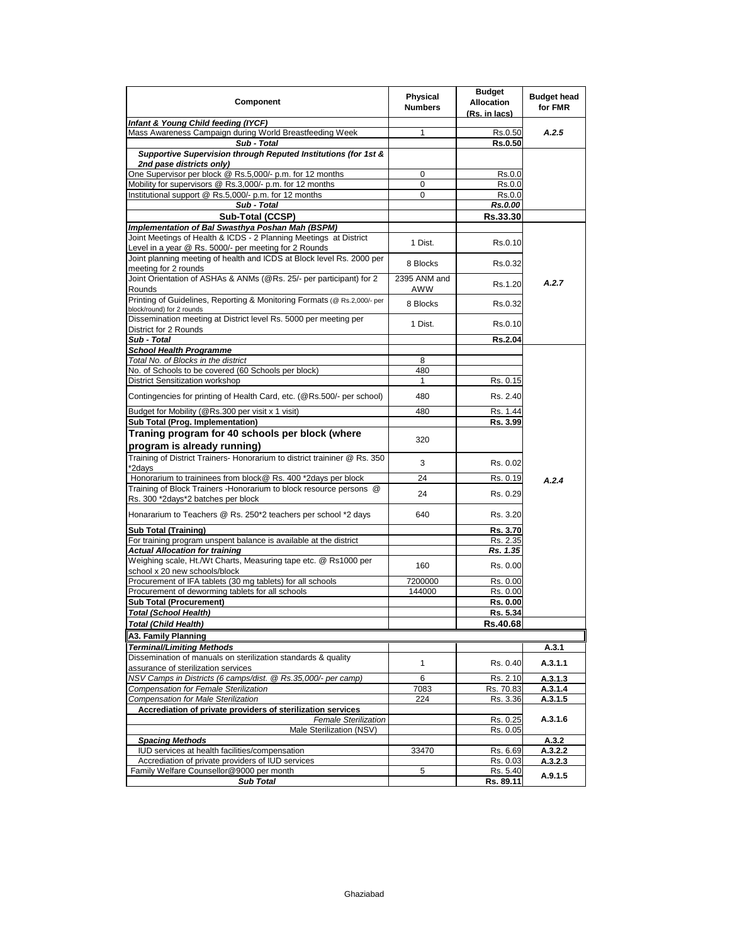| Component                                                                                                         | Physical<br><b>Numbers</b> | <b>Budget</b><br><b>Allocation</b><br>(Rs. in lacs) | <b>Budget head</b><br>for FMR |
|-------------------------------------------------------------------------------------------------------------------|----------------------------|-----------------------------------------------------|-------------------------------|
| Infant & Young Child feeding (IYCF)                                                                               |                            |                                                     |                               |
| Mass Awareness Campaign during World Breastfeeding Week                                                           | 1                          | Rs.0.50                                             | A.2.5                         |
| Sub - Total                                                                                                       |                            | <b>Rs.0.50</b>                                      |                               |
| Supportive Supervision through Reputed Institutions (for 1st &                                                    |                            |                                                     |                               |
| 2nd pase districts only)                                                                                          |                            |                                                     |                               |
| One Supervisor per block @ Rs.5,000/- p.m. for 12 months                                                          | 0<br>0                     | Rs.0.0<br>Rs.0.0                                    |                               |
| Mobility for supervisors @ Rs.3,000/- p.m. for 12 months<br>Institutional support @ Rs.5,000/- p.m. for 12 months | 0                          | Rs.0.0                                              |                               |
| Sub - Total                                                                                                       |                            | Rs.0.00                                             |                               |
| Sub-Total (CCSP)                                                                                                  |                            | Rs.33.30                                            |                               |
| Implementation of Bal Swasthya Poshan Mah (BSPM)                                                                  |                            |                                                     |                               |
| Joint Meetings of Health & ICDS - 2 Planning Meetings at District                                                 |                            |                                                     |                               |
| Level in a year @ Rs. 5000/- per meeting for 2 Rounds                                                             | 1 Dist.                    | Rs.0.10                                             |                               |
| Joint planning meeting of health and ICDS at Block level Rs. 2000 per                                             |                            |                                                     |                               |
| meeting for 2 rounds                                                                                              | 8 Blocks                   | Rs.0.32                                             |                               |
| Joint Orientation of ASHAs & ANMs (@Rs. 25/- per participant) for 2                                               | 2395 ANM and               |                                                     |                               |
| Rounds                                                                                                            | AWW                        | Rs.1.20                                             | A.2.7                         |
| Printing of Guidelines, Reporting & Monitoring Formats (@ Rs.2,000/- per<br>block/round) for 2 rounds             | 8 Blocks                   | Rs.0.32                                             |                               |
| Dissemination meeting at District level Rs. 5000 per meeting per<br>District for 2 Rounds                         | 1 Dist.                    | Rs.0.10                                             |                               |
| Sub - Total                                                                                                       |                            | Rs.2.04                                             |                               |
| <b>School Health Programme</b>                                                                                    |                            |                                                     |                               |
| Total No. of Blocks in the district                                                                               | 8                          |                                                     |                               |
| No. of Schools to be covered (60 Schools per block)                                                               | 480                        |                                                     |                               |
| <b>District Sensitization workshop</b>                                                                            | $\mathbf{1}$               | Rs. 0.15                                            |                               |
| Contingencies for printing of Health Card, etc. (@Rs.500/- per school)                                            | 480                        | Rs. 2.40                                            |                               |
|                                                                                                                   |                            |                                                     |                               |
| Budget for Mobility (@Rs.300 per visit x 1 visit)                                                                 | 480                        | Rs. 1.44                                            |                               |
| Sub Total (Prog. Implementation)                                                                                  |                            | Rs. 3.99                                            |                               |
| Traning program for 40 schools per block (where                                                                   | 320                        |                                                     |                               |
| program is already running)                                                                                       |                            |                                                     |                               |
| Training of District Trainers- Honorarium to district traininer @ Rs. 350<br>*2days                               | 3                          | Rs. 0.02                                            |                               |
| Honorarium to traininees from block@ Rs. 400 *2days per block                                                     | 24                         | Rs. 0.19                                            | A.2.4                         |
| Training of Block Trainers - Honorarium to block resource persons @                                               |                            |                                                     |                               |
| Rs. 300 *2days*2 batches per block                                                                                | 24                         | Rs. 0.29                                            |                               |
| Honararium to Teachers @ Rs. 250*2 teachers per school *2 days                                                    | 640                        | Rs. 3.20                                            |                               |
| <b>Sub Total (Training)</b>                                                                                       |                            | Rs. 3.70                                            |                               |
| For training program unspent balance is available at the district                                                 |                            | Rs. 2.35                                            |                               |
| <b>Actual Allocation for training</b>                                                                             |                            | Rs. 1.35                                            |                               |
| Weighing scale, Ht./Wt Charts, Measuring tape etc. @ Rs1000 per<br>school x 20 new schools/block                  | 160                        | Rs. 0.00                                            |                               |
| Procurement of IFA tablets (30 mg tablets) for all schools                                                        | 7200000                    | Rs. 0.00                                            |                               |
| Procurement of deworming tablets for all schools                                                                  | 144000                     | Rs. 0.00                                            |                               |
| <b>Sub Total (Procurement)</b>                                                                                    |                            | Rs. 0.00                                            |                               |
| Total (School Health)                                                                                             |                            | Rs. 5.34                                            |                               |
| Total (Child Health)                                                                                              |                            | Rs.40.68                                            |                               |
| A3. Family Planning                                                                                               |                            |                                                     |                               |
| <b>Terminal/Limiting Methods</b>                                                                                  |                            |                                                     | A.3.1                         |
| Dissemination of manuals on sterilization standards & quality                                                     |                            |                                                     |                               |
| assurance of sterilization services                                                                               | $\mathbf{1}$               | Rs. 0.40                                            | A.3.1.1                       |
| NSV Camps in Districts (6 camps/dist. @ Rs.35,000/- per camp)                                                     | 6                          | Rs. 2.10                                            | A.3.1.3                       |
| Compensation for Female Sterilization                                                                             | 7083                       | Rs. 70.83                                           | A.3.1.4                       |
| <b>Compensation for Male Sterilization</b>                                                                        | 224                        | Rs. 3.36                                            | A.3.1.5                       |
| Accrediation of private providers of sterilization services                                                       |                            |                                                     |                               |
| <b>Female Sterilization</b>                                                                                       |                            | Rs. 0.25                                            | A.3.1.6                       |
| Male Sterilization (NSV)                                                                                          |                            | Rs. 0.05                                            |                               |
| <b>Spacing Methods</b>                                                                                            |                            |                                                     | A.3.2                         |
| IUD services at health facilities/compensation                                                                    | 33470                      | Rs. 6.69                                            | A.3.2.2                       |
| Accrediation of private providers of IUD services<br>Family Welfare Counsellor@9000 per month                     |                            | Rs. 0.03                                            | A.3.2.3                       |
| <b>Sub Total</b>                                                                                                  | 5                          | Rs. 5.40<br>Rs. 89.11                               | A.9.1.5                       |
|                                                                                                                   |                            |                                                     |                               |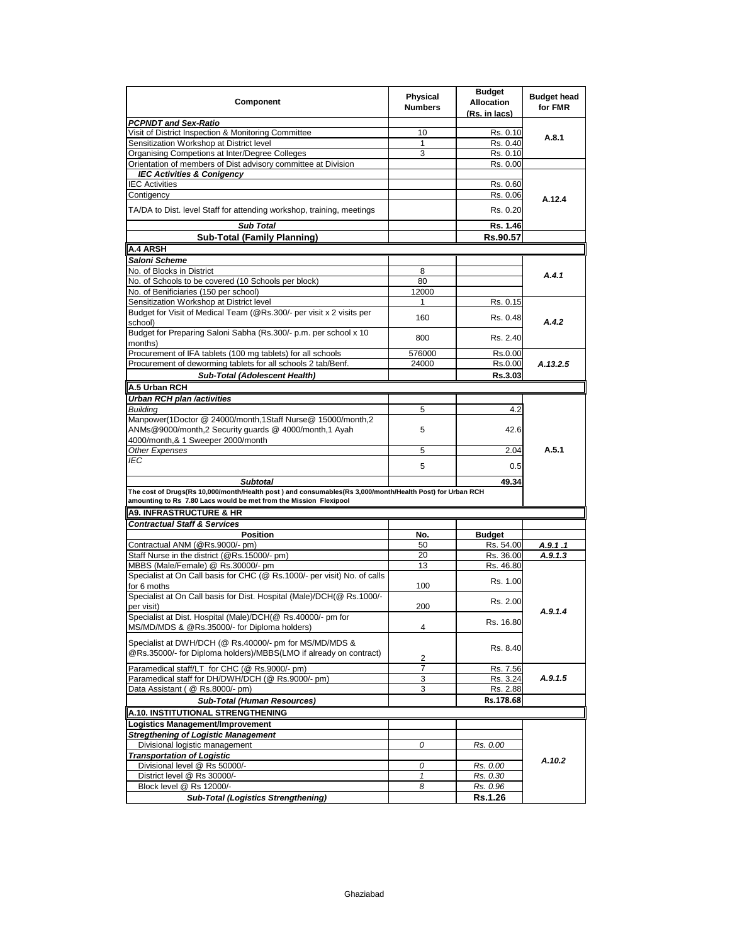| Component                                                                                                                                                                     | <b>Physical</b><br><b>Numbers</b> | <b>Budget</b><br><b>Allocation</b><br>(Rs. in lacs) | <b>Budget head</b><br>for FMR |  |
|-------------------------------------------------------------------------------------------------------------------------------------------------------------------------------|-----------------------------------|-----------------------------------------------------|-------------------------------|--|
| <b>PCPNDT and Sex-Ratio</b>                                                                                                                                                   |                                   |                                                     |                               |  |
| Visit of District Inspection & Monitoring Committee                                                                                                                           | 10                                | Rs. 0.10                                            | A.8.1                         |  |
| Sensitization Workshop at District level                                                                                                                                      | 1                                 | Rs. 0.40                                            |                               |  |
| Organising Competions at Inter/Degree Colleges                                                                                                                                | 3                                 | Rs. 0.10                                            |                               |  |
| Orientation of members of Dist advisory committee at Division                                                                                                                 |                                   | Rs. 0.00                                            |                               |  |
| <b>IEC Activities &amp; Conigency</b>                                                                                                                                         |                                   |                                                     |                               |  |
| <b>IEC Activities</b>                                                                                                                                                         |                                   | Rs. 0.60                                            |                               |  |
| Contigency                                                                                                                                                                    |                                   | Rs. 0.06                                            | A.12.4                        |  |
| TA/DA to Dist. level Staff for attending workshop, training, meetings                                                                                                         |                                   | Rs. 0.20                                            |                               |  |
| <b>Sub Total</b>                                                                                                                                                              |                                   | Rs. 1.46                                            |                               |  |
| <b>Sub-Total (Family Planning)</b>                                                                                                                                            |                                   | Rs.90.57                                            |                               |  |
| <b>A.4 ARSH</b>                                                                                                                                                               |                                   |                                                     |                               |  |
| Saloni Scheme                                                                                                                                                                 |                                   |                                                     |                               |  |
| No. of Blocks in District                                                                                                                                                     | 8                                 |                                                     |                               |  |
| No. of Schools to be covered (10 Schools per block)                                                                                                                           | 80                                |                                                     | A.4.1                         |  |
| No. of Benificiaries (150 per school)                                                                                                                                         | 12000                             |                                                     |                               |  |
| Sensitization Workshop at District level                                                                                                                                      | 1                                 | Rs. 0.15                                            |                               |  |
| Budget for Visit of Medical Team (@Rs.300/- per visit x 2 visits per                                                                                                          |                                   |                                                     |                               |  |
| school)                                                                                                                                                                       | 160                               | Rs. 0.48                                            | A.4.2                         |  |
| Budget for Preparing Saloni Sabha (Rs.300/- p.m. per school x 10<br>months)                                                                                                   | 800                               | Rs. 2.40                                            |                               |  |
| Procurement of IFA tablets (100 mg tablets) for all schools                                                                                                                   | 576000                            | Rs.0.00                                             |                               |  |
| Procurement of deworming tablets for all schools 2 tab/Benf.                                                                                                                  | 24000                             | Rs.0.00                                             | A.13.2.5                      |  |
| <b>Sub-Total (Adolescent Health)</b>                                                                                                                                          |                                   | Rs.3.03                                             |                               |  |
| A.5 Urban RCH                                                                                                                                                                 |                                   |                                                     |                               |  |
| Urban RCH plan /activities                                                                                                                                                    |                                   |                                                     |                               |  |
| <b>Building</b>                                                                                                                                                               | 5                                 | 4.2                                                 |                               |  |
| Manpower(1Doctor @ 24000/month,1Staff Nurse@ 15000/month,2                                                                                                                    |                                   |                                                     |                               |  |
| ANMs@9000/month,2 Security guards @ 4000/month,1 Ayah                                                                                                                         | 5                                 | 42.6                                                |                               |  |
| 4000/month,& 1 Sweeper 2000/month                                                                                                                                             |                                   |                                                     |                               |  |
| <b>Other Expenses</b>                                                                                                                                                         | 5                                 | 2.04                                                | A.5.1                         |  |
| IEC                                                                                                                                                                           |                                   |                                                     |                               |  |
|                                                                                                                                                                               | 5                                 | 0.5                                                 |                               |  |
| <b>Subtotal</b>                                                                                                                                                               |                                   | 49.34                                               |                               |  |
| The cost of Drugs(Rs 10,000/month/Health post) and consumables(Rs 3,000/month/Health Post) for Urban RCH<br>amounting to Rs 7.80 Lacs would be met from the Mission Flexipool |                                   |                                                     |                               |  |
| <b>A9. INFRASTRUCTURE &amp; HR</b>                                                                                                                                            |                                   |                                                     |                               |  |
| <b>Contractual Staff &amp; Services</b>                                                                                                                                       |                                   |                                                     |                               |  |
| <b>Position</b>                                                                                                                                                               | No.                               | <b>Budget</b>                                       |                               |  |
| Contractual ANM (@Rs.9000/- pm)                                                                                                                                               | 50                                | Rs. 54.00                                           | A.9.1 .1                      |  |
| Staff Nurse in the district (@Rs.15000/- pm)                                                                                                                                  | 20                                | Rs. 36.00                                           | A.9.1.3                       |  |
| MBBS (Male/Female) @ Rs.30000/- pm                                                                                                                                            | 13                                | Rs. 46.80                                           |                               |  |
| Specialist at On Call basis for CHC (@ Rs.1000/- per visit) No. of calls                                                                                                      |                                   |                                                     |                               |  |
| for 6 moths                                                                                                                                                                   | 100                               | Rs. 1.00                                            |                               |  |
| Specialist at On Call basis for Dist. Hospital (Male)/DCH(@ Rs.1000/-                                                                                                         |                                   |                                                     |                               |  |
| per visit)                                                                                                                                                                    | 200                               | Rs. 2.00                                            |                               |  |
| Specialist at Dist. Hospital (Male)/DCH(@ Rs.40000/- pm for                                                                                                                   |                                   |                                                     | A.9.1.4                       |  |
| MS/MD/MDS & @Rs.35000/- for Diploma holders)                                                                                                                                  | 4                                 | Rs. 16.80                                           |                               |  |
|                                                                                                                                                                               |                                   |                                                     |                               |  |
| Specialist at DWH/DCH (@ Rs.40000/- pm for MS/MD/MDS &<br>@Rs.35000/- for Diploma holders)/MBBS(LMO if already on contract)                                                   |                                   | Rs. 8.40                                            |                               |  |
|                                                                                                                                                                               | 2                                 |                                                     |                               |  |
| Paramedical staff/LT for CHC (@ Rs.9000/- pm)                                                                                                                                 | $\overline{7}$                    | Rs. 7.56                                            |                               |  |
| Paramedical staff for DH/DWH/DCH (@ Rs.9000/- pm)                                                                                                                             | 3                                 | Rs. 3.24                                            | A.9.1.5                       |  |
| Data Assistant ( @ Rs.8000/- pm)                                                                                                                                              | 3                                 | Rs. 2.88                                            |                               |  |
| <b>Sub-Total (Human Resources)</b>                                                                                                                                            |                                   | Rs.178.68                                           |                               |  |
| A.10. INSTITUTIONAL STRENGTHENING                                                                                                                                             |                                   |                                                     |                               |  |
| Logistics Management/Improvement                                                                                                                                              |                                   |                                                     |                               |  |
| <b>Stregthening of Logistic Management</b>                                                                                                                                    |                                   |                                                     |                               |  |
| Divisional logistic management                                                                                                                                                | 0                                 | Rs. 0.00                                            |                               |  |
| <b>Transportation of Logistic</b>                                                                                                                                             |                                   |                                                     |                               |  |
| Divisional level @ Rs 50000/-                                                                                                                                                 | 0                                 | Rs. 0.00                                            | A.10.2                        |  |
| District level @ Rs 30000/-                                                                                                                                                   | $\mathbf{1}$                      | Rs. 0.30                                            |                               |  |
| Block level @ Rs 12000/-                                                                                                                                                      | 8                                 | Rs. 0.96                                            |                               |  |
| <b>Sub-Total (Logistics Strengthening)</b>                                                                                                                                    |                                   | <b>Rs.1.26</b>                                      |                               |  |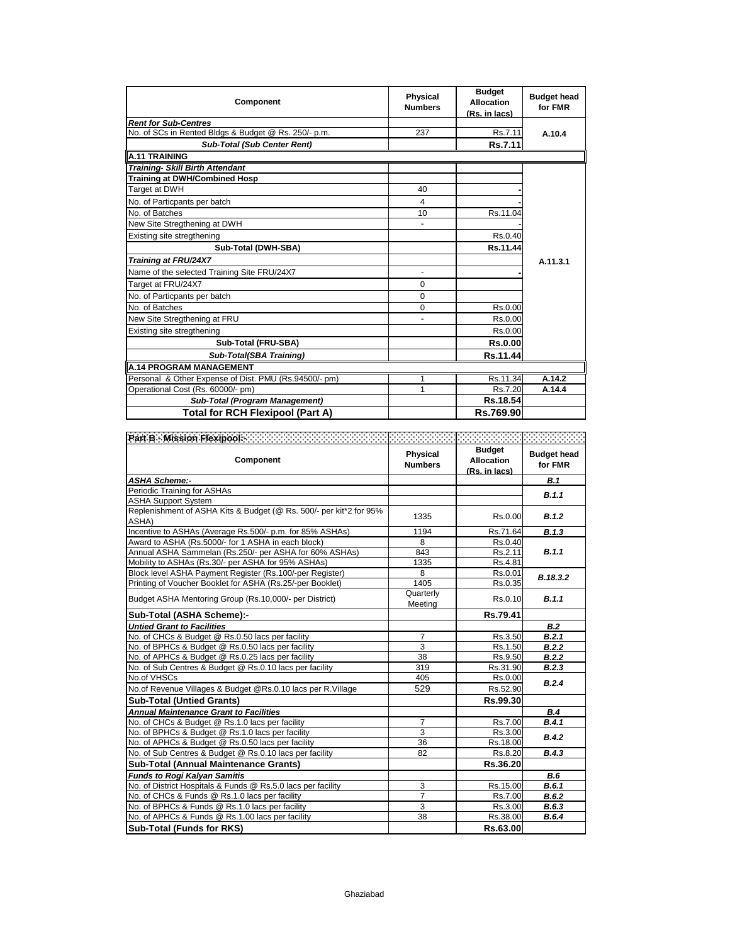| Component                                             | <b>Physical</b><br><b>Numbers</b> | <b>Budget</b><br><b>Allocation</b><br>(Rs. in lacs) | <b>Budget head</b><br>for FMR |
|-------------------------------------------------------|-----------------------------------|-----------------------------------------------------|-------------------------------|
| <b>Rent for Sub-Centres</b>                           |                                   |                                                     |                               |
| No. of SCs in Rented Bldgs & Budget @ Rs. 250/- p.m.  | 237                               | Rs.7.11                                             | A.10.4                        |
| <b>Sub-Total (Sub Center Rent)</b>                    |                                   | <b>Rs.7.11</b>                                      |                               |
| <b>A.11 TRAINING</b>                                  |                                   |                                                     |                               |
| <b>Training- Skill Birth Attendant</b>                |                                   |                                                     |                               |
| <b>Training at DWH/Combined Hosp</b>                  |                                   |                                                     |                               |
| Target at DWH                                         | 40                                |                                                     |                               |
| No. of Particpants per batch                          | 4                                 |                                                     |                               |
| No. of Batches                                        | 10                                | Rs.11.04                                            |                               |
| New Site Stregthening at DWH                          |                                   |                                                     |                               |
| Existing site stregthening                            |                                   | Rs.0.40                                             |                               |
| Sub-Total (DWH-SBA)                                   |                                   | Rs.11.44                                            |                               |
| Training at FRU/24X7                                  |                                   |                                                     | A.11.3.1                      |
| Name of the selected Training Site FRU/24X7           |                                   |                                                     |                               |
| Target at FRU/24X7                                    | $\Omega$                          |                                                     |                               |
| No. of Particpants per batch                          | $\Omega$                          |                                                     |                               |
| No. of Batches                                        | $\Omega$                          | Rs.0.00                                             |                               |
| New Site Stregthening at FRU                          |                                   | Rs.0.00                                             |                               |
| Existing site stregthening                            |                                   | Rs.0.00                                             |                               |
| Sub-Total (FRU-SBA)                                   |                                   | <b>Rs.0.00</b>                                      |                               |
| Sub-Total(SBA Training)                               |                                   | Rs.11.44                                            |                               |
| <b>A.14 PROGRAM MANAGEMENT</b>                        |                                   |                                                     |                               |
| Personal & Other Expense of Dist. PMU (Rs.94500/- pm) | 1                                 | Rs.11.34                                            | A.14.2                        |
| Operational Cost (Rs. 60000/- pm)                     | 1                                 | Rs.7.20                                             | A.14.4                        |
| Sub-Total (Program Management)                        |                                   | Rs.18.54                                            |                               |
| <b>Total for RCH Flexipool (Part A)</b>               |                                   | Rs.769.90                                           |                               |

| Part B - Mission Flexipool - Contract Contract Contract Contract Contract Contract Contract Contract Contract Contract Contract Contract Contract Contract Contract Contract Contract Contract Contract Contract Contract Cont<br><b>Component</b> | Physical<br><b>Numbers</b> | <b>Budget</b><br><b>Allocation</b><br>(Rs. in lacs) | <b>Budget head</b><br>for FMR |
|----------------------------------------------------------------------------------------------------------------------------------------------------------------------------------------------------------------------------------------------------|----------------------------|-----------------------------------------------------|-------------------------------|
| <b>ASHA Scheme:-</b>                                                                                                                                                                                                                               |                            |                                                     | B.1                           |
| Periodic Training for ASHAs                                                                                                                                                                                                                        |                            |                                                     | B.1.1                         |
| <b>ASHA Support System</b>                                                                                                                                                                                                                         |                            |                                                     |                               |
| Replenishment of ASHA Kits & Budget (@ Rs. 500/- per kit*2 for 95%<br>ASHA)                                                                                                                                                                        | 1335                       | Rs.0.00                                             | B.1.2                         |
| Incentive to ASHAs (Average Rs.500/- p.m. for 85% ASHAs)                                                                                                                                                                                           | 1194                       | Rs.71.64                                            | B.1.3                         |
| Award to ASHA (Rs.5000/- for 1 ASHA in each block)                                                                                                                                                                                                 | 8                          | Rs.0.40                                             |                               |
| Annual ASHA Sammelan (Rs.250/- per ASHA for 60% ASHAs)                                                                                                                                                                                             | 843                        | Rs.2.11                                             | B.1.1                         |
| Mobility to ASHAs (Rs.30/- per ASHA for 95% ASHAs)                                                                                                                                                                                                 | 1335                       | Rs.4.81                                             |                               |
| Block level ASHA Payment Register (Rs.100/-per Register)                                                                                                                                                                                           | 8                          | Rs.0.01                                             | B.18.3.2                      |
| Printing of Voucher Booklet for ASHA (Rs.25/-per Booklet)                                                                                                                                                                                          | 1405                       | Rs.0.35                                             |                               |
| Budget ASHA Mentoring Group (Rs.10,000/- per District)                                                                                                                                                                                             | Quarterly<br>Meeting       | Rs.0.10                                             | B.1.1                         |
| Sub-Total (ASHA Scheme):-                                                                                                                                                                                                                          |                            | Rs.79.41                                            |                               |
| <b>Untied Grant to Facilities</b>                                                                                                                                                                                                                  |                            |                                                     | B.2                           |
| No. of CHCs & Budget @ Rs.0.50 lacs per facility                                                                                                                                                                                                   | 7                          | Rs.3.50                                             | B.2.1                         |
| No. of BPHCs & Budget @ Rs.0.50 lacs per facility                                                                                                                                                                                                  | 3                          | Rs.1.50                                             | B.2.2                         |
| No. of APHCs & Budget @ Rs.0.25 lacs per facility                                                                                                                                                                                                  | 38                         | Rs.9.50                                             | B.2.2                         |
| No. of Sub Centres & Budget @ Rs.0.10 lacs per facility                                                                                                                                                                                            | 319                        | Rs.31.90                                            | B.2.3                         |
| No.of VHSCs                                                                                                                                                                                                                                        | 405                        | Rs.0.00                                             | B.2.4                         |
| No.of Revenue Villages & Budget @Rs.0.10 lacs per R.Village                                                                                                                                                                                        | 529                        | Rs.52.90                                            |                               |
| <b>Sub-Total (Untied Grants)</b>                                                                                                                                                                                                                   |                            | Rs.99.30                                            |                               |
| <b>Annual Maintenance Grant to Facilities</b>                                                                                                                                                                                                      |                            |                                                     | B.4                           |
| No. of CHCs & Budget @ Rs.1.0 lacs per facility                                                                                                                                                                                                    | $\overline{7}$             | Rs.7.00                                             | B.4.1                         |
| No. of BPHCs & Budget @ Rs.1.0 lacs per facility                                                                                                                                                                                                   | 3                          | Rs.3.00                                             | B.4.2                         |
| No. of APHCs & Budget @ Rs.0.50 lacs per facility                                                                                                                                                                                                  | 36                         | Rs.18.00                                            |                               |
| No. of Sub Centres & Budget @ Rs.0.10 lacs per facility                                                                                                                                                                                            | 82                         | Rs.8.20                                             | B.4.3                         |
| <b>Sub-Total (Annual Maintenance Grants)</b>                                                                                                                                                                                                       |                            | Rs.36.20                                            |                               |
| <b>Funds to Rogi Kalyan Samitis</b>                                                                                                                                                                                                                |                            |                                                     | B.6                           |
| No. of District Hospitals & Funds @ Rs.5.0 lacs per facility                                                                                                                                                                                       | 3                          | Rs.15.00                                            | B.6.1                         |
| No. of CHCs & Funds @ Rs.1.0 lacs per facility                                                                                                                                                                                                     | $\overline{7}$             | Rs.7.00                                             | B.6.2                         |
| No. of BPHCs & Funds @ Rs.1.0 lacs per facility                                                                                                                                                                                                    | 3                          | Rs.3.00                                             | B.6.3                         |
| No. of APHCs & Funds @ Rs.1.00 lacs per facility                                                                                                                                                                                                   | 38                         | Rs.38.00                                            | B.6.4                         |
| <b>Sub-Total (Funds for RKS)</b>                                                                                                                                                                                                                   |                            | Rs.63.00                                            |                               |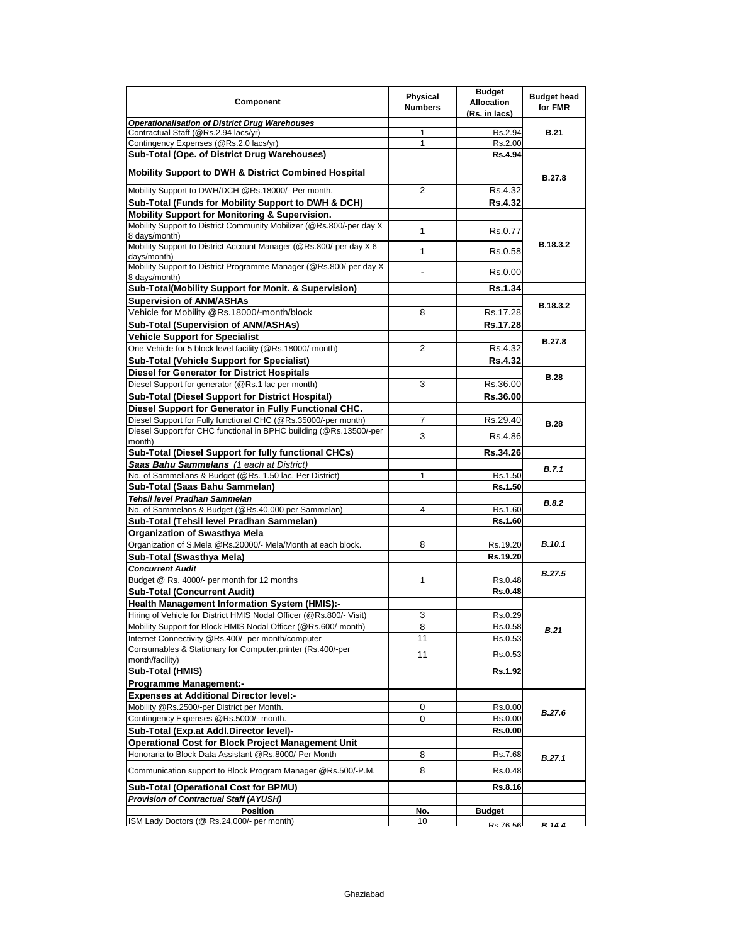| Component                                                                                        | Physical<br><b>Numbers</b> | <b>Budget</b><br><b>Allocation</b><br>(Rs. in lacs) | <b>Budget head</b><br>for FMR |
|--------------------------------------------------------------------------------------------------|----------------------------|-----------------------------------------------------|-------------------------------|
| <b>Operationalisation of District Drug Warehouses</b>                                            |                            |                                                     |                               |
| Contractual Staff (@Rs.2.94 lacs/yr)                                                             | 1                          | Rs.2.94                                             | <b>B.21</b>                   |
| Contingency Expenses (@Rs.2.0 lacs/yr)                                                           | 1                          | Rs.2.00                                             |                               |
| Sub-Total (Ope. of District Drug Warehouses)                                                     |                            | <b>Rs.4.94</b>                                      |                               |
| <b>Mobility Support to DWH &amp; District Combined Hospital</b>                                  |                            |                                                     | B.27.8                        |
| Mobility Support to DWH/DCH @Rs.18000/- Per month.                                               | 2                          | Rs.4.32                                             |                               |
| Sub-Total (Funds for Mobility Support to DWH & DCH)                                              |                            | <b>Rs.4.32</b>                                      |                               |
| Mobility Support for Monitoring & Supervision.                                                   |                            |                                                     |                               |
| Mobility Support to District Community Mobilizer (@Rs.800/-per day X<br>8 days/month)            | 1                          | Rs.0.77                                             |                               |
| Mobility Support to District Account Manager (@Rs.800/-per day X 6)<br>days/month)               | 1                          | Rs.0.58                                             | B.18.3.2                      |
| Mobility Support to District Programme Manager (@Rs.800/-per day X<br>8 days/month)              |                            | Rs.0.00                                             |                               |
| Sub-Total(Mobility Support for Monit. & Supervision)                                             |                            | Rs.1.34                                             |                               |
| <b>Supervision of ANM/ASHAs</b>                                                                  |                            |                                                     | B.18.3.2                      |
| Vehicle for Mobility @Rs.18000/-month/block                                                      | 8                          | Rs.17.28                                            |                               |
| Sub-Total (Supervision of ANM/ASHAs)                                                             |                            | Rs.17.28                                            |                               |
| <b>Vehicle Support for Specialist</b>                                                            |                            |                                                     | <b>B.27.8</b>                 |
| One Vehicle for 5 block level facility (@Rs.18000/-month)                                        | 2                          | Rs.4.32                                             |                               |
| <b>Sub-Total (Vehicle Support for Specialist)</b>                                                |                            | <b>Rs.4.32</b>                                      |                               |
| <b>Diesel for Generator for District Hospitals</b>                                               |                            |                                                     |                               |
| Diesel Support for generator (@Rs.1 lac per month)                                               | 3                          | Rs.36.00                                            | <b>B.28</b>                   |
| Sub-Total (Diesel Support for District Hospital)                                                 |                            | Rs.36.00                                            |                               |
| Diesel Support for Generator in Fully Functional CHC.                                            |                            |                                                     |                               |
| Diesel Support for Fully functional CHC (@Rs.35000/-per month)                                   | 7                          | Rs.29.40                                            | <b>B.28</b>                   |
| Diesel Support for CHC functional in BPHC building (@Rs.13500/-per                               | 3                          | Rs.4.86                                             |                               |
| month)                                                                                           |                            | Rs.34.26                                            |                               |
| Sub-Total (Diesel Support for fully functional CHCs)<br>Saas Bahu Sammelans (1 each at District) |                            |                                                     |                               |
| No. of Sammellans & Budget (@Rs. 1.50 lac. Per District)                                         | 1                          | Rs.1.50                                             | B.7.1                         |
| Sub-Total (Saas Bahu Sammelan)                                                                   |                            | Rs.1.50                                             |                               |
| Tehsil level Pradhan Sammelan                                                                    |                            |                                                     |                               |
| No. of Sammelans & Budget (@Rs.40,000 per Sammelan)                                              | 4                          | Rs.1.60                                             | B.8.2                         |
| Sub-Total (Tehsil level Pradhan Sammelan)                                                        |                            | Rs.1.60                                             |                               |
| Organization of Swasthya Mela                                                                    |                            |                                                     |                               |
| Organization of S.Mela @Rs.20000/- Mela/Month at each block.                                     | 8                          | Rs.19.20                                            | <b>B.10.1</b>                 |
| Sub-Total (Swasthya Mela)                                                                        |                            | Rs.19.20                                            |                               |
| <b>Concurrent Audit</b>                                                                          |                            |                                                     | <b>B.27.5</b>                 |
| Budget @ Rs. 4000/- per month for 12 months                                                      | 1                          | Rs.0.48                                             |                               |
| <b>Sub-Total (Concurrent Audit)</b>                                                              |                            | <b>Rs.0.48</b>                                      |                               |
| <b>Health Management Information System (HMIS):-</b>                                             |                            |                                                     |                               |
| Hiring of Vehicle for District HMIS Nodal Officer (@Rs.800/- Visit)                              | 3                          | Rs.0.29                                             |                               |
| Mobility Support for Block HMIS Nodal Officer (@Rs.600/-month)                                   | 8                          | Rs.0.58                                             | <b>B.21</b>                   |
| Internet Connectivity @Rs.400/- per month/computer                                               | 11                         | Rs.0.53                                             |                               |
| Consumables & Stationary for Computer, printer (Rs.400/-per<br>month/facility)                   | 11                         | Rs.0.53                                             |                               |
| Sub-Total (HMIS)                                                                                 |                            | Rs.1.92                                             |                               |
| <b>Programme Management:-</b>                                                                    |                            |                                                     |                               |
| <b>Expenses at Additional Director level:-</b>                                                   |                            |                                                     |                               |
| Mobility @Rs.2500/-per District per Month.                                                       | 0                          | Rs.0.00                                             |                               |
| Contingency Expenses @Rs.5000/- month.                                                           | 0                          | Rs.0.00                                             | <b>B.27.6</b>                 |
| Sub-Total (Exp.at Addl.Director level)-                                                          |                            | <b>Rs.0.00</b>                                      |                               |
| <b>Operational Cost for Block Project Management Unit</b>                                        |                            |                                                     |                               |
| Honoraria to Block Data Assistant @Rs.8000/-Per Month                                            | 8                          | Rs.7.68                                             | B.27.1                        |
| Communication support to Block Program Manager @Rs.500/-P.M.                                     | 8                          | Rs.0.48                                             |                               |
| Sub-Total (Operational Cost for BPMU)                                                            |                            | Rs.8.16                                             |                               |
| <b>Provision of Contractual Staff (AYUSH)</b>                                                    |                            |                                                     |                               |
| <b>Position</b>                                                                                  | No.                        | <b>Budget</b>                                       |                               |
| ISM Lady Doctors (@ Rs.24,000/- per month)                                                       | 10                         | Re 7656                                             | <b>R</b> 14 A                 |
|                                                                                                  |                            |                                                     |                               |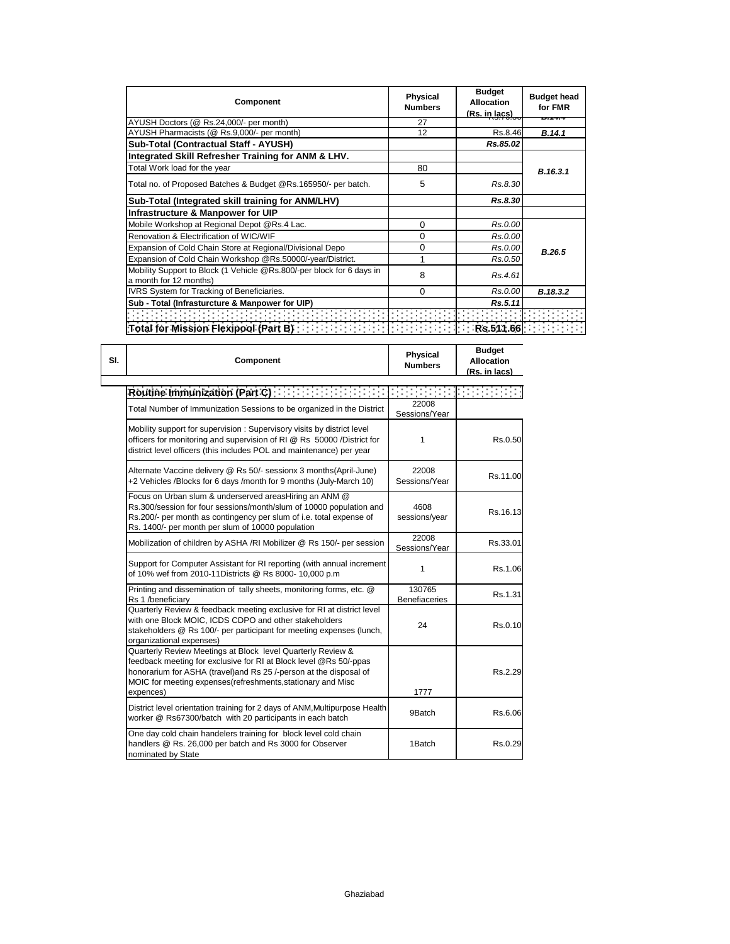| <b>Component</b>                                                                                | Physical<br><b>Numbers</b> | <b>Budget</b><br><b>Allocation</b><br>(Rs. in lacs) | <b>Budget head</b><br>for FMR |
|-------------------------------------------------------------------------------------------------|----------------------------|-----------------------------------------------------|-------------------------------|
| AYUSH Doctors (@ Rs.24,000/- per month)                                                         | 27                         |                                                     | .                             |
| AYUSH Pharmacists (@ Rs.9,000/- per month)                                                      | 12                         | Rs.8.46                                             | B.14.1                        |
| Sub-Total (Contractual Staff - AYUSH)                                                           |                            | Rs.85.02                                            |                               |
| Integrated Skill Refresher Training for ANM & LHV.                                              |                            |                                                     |                               |
| Total Work load for the year                                                                    | 80                         |                                                     | B.16.3.1                      |
| Total no. of Proposed Batches & Budget @Rs.165950/- per batch.                                  | 5                          | Rs.8.30                                             |                               |
| Sub-Total (Integrated skill training for ANM/LHV)                                               |                            | Rs.8.30                                             |                               |
| Infrastructure & Manpower for UIP                                                               |                            |                                                     |                               |
| Mobile Workshop at Regional Depot @Rs.4 Lac.                                                    | 0                          | Rs.0.00                                             |                               |
| Renovation & Electrification of WIC/WIF                                                         | 0                          | Rs.0.00                                             |                               |
| Expansion of Cold Chain Store at Regional/Divisional Depo                                       | 0                          | Rs.0.00                                             | B.26.5                        |
| Expansion of Cold Chain Workshop @Rs.50000/-year/District.                                      |                            | Rs.0.50                                             |                               |
| Mobility Support to Block (1 Vehicle @Rs.800/-per block for 6 days in<br>a month for 12 months) | 8                          | Rs.4.61                                             |                               |
| IVRS System for Tracking of Beneficiaries.                                                      | 0                          | Rs.0.00                                             | B.18.3.2                      |
| Sub - Total (Infrasturcture & Manpower for UIP)                                                 |                            | Rs.5.11                                             |                               |
|                                                                                                 |                            |                                                     |                               |
| Total for Mission Flexipool (Part B) [19] [19] [19] [19] [19]                                   |                            | Rs.511.66                                           |                               |

| Component                                                                                                                                                                                                                                                                          | <b>Physical</b><br><b>Numbers</b> | <b>Budget</b><br><b>Allocation</b><br>(Rs. in lacs) |
|------------------------------------------------------------------------------------------------------------------------------------------------------------------------------------------------------------------------------------------------------------------------------------|-----------------------------------|-----------------------------------------------------|
| Routine Immunization (Part C)                                                                                                                                                                                                                                                      |                                   |                                                     |
| Total Number of Immunization Sessions to be organized in the District                                                                                                                                                                                                              | 22008<br>Sessions/Year            |                                                     |
| Mobility support for supervision: Supervisory visits by district level<br>officers for monitoring and supervision of RI @ Rs 50000 /District for<br>district level officers (this includes POL and maintenance) per year                                                           | 1                                 | Rs.0.50                                             |
| Alternate Vaccine delivery @ Rs 50/- sessionx 3 months(April-June)<br>+2 Vehicles /Blocks for 6 days /month for 9 months (July-March 10)                                                                                                                                           | 22008<br>Sessions/Year            | Rs.11.00                                            |
| Focus on Urban slum & underserved areasHiring an ANM @<br>Rs.300/session for four sessions/month/slum of 10000 population and<br>Rs.200/- per month as contingency per slum of i.e. total expense of<br>Rs. 1400/- per month per slum of 10000 population                          | 4608<br>sessions/year             | Rs.16.13                                            |
| Mobilization of children by ASHA /RI Mobilizer @ Rs 150/- per session                                                                                                                                                                                                              | 22008<br>Sessions/Year            | Rs.33.01                                            |
| Support for Computer Assistant for RI reporting (with annual increment<br>of 10% wef from 2010-11Districts @ Rs 8000- 10,000 p.m                                                                                                                                                   | 1                                 | Rs.1.06                                             |
| Printing and dissemination of tally sheets, monitoring forms, etc. @<br>Rs 1 /beneficiary                                                                                                                                                                                          | 130765<br><b>Benefiaceries</b>    | Rs.1.31                                             |
| Quarterly Review & feedback meeting exclusive for RI at district level<br>with one Block MOIC, ICDS CDPO and other stakeholders<br>stakeholders @ Rs 100/- per participant for meeting expenses (lunch,<br>organizational expenses)                                                | 24                                | Rs.0.10                                             |
| Quarterly Review Meetings at Block level Quarterly Review &<br>feedback meeting for exclusive for RI at Block level @Rs 50/-ppas<br>honorarium for ASHA (travel)and Rs 25 /-person at the disposal of<br>MOIC for meeting expenses (refreshments, stationary and Misc<br>expences) | 1777                              | Rs.2.29                                             |
| District level orientation training for 2 days of ANM, Multipurpose Health<br>worker @ Rs67300/batch with 20 participants in each batch                                                                                                                                            | 9Batch                            | Rs.6.06                                             |
| One day cold chain handelers training for block level cold chain<br>handlers @ Rs. 26,000 per batch and Rs 3000 for Observer<br>nominated by State                                                                                                                                 | 1Batch                            | Rs.0.29                                             |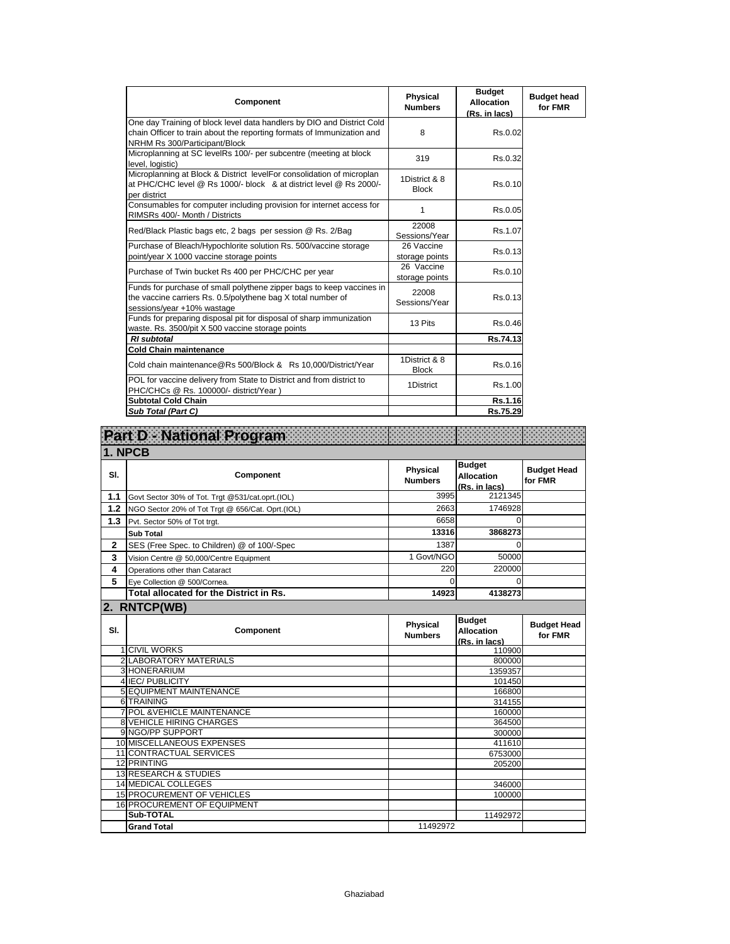| <b>Component</b>                                                                                                                                                                  | <b>Physical</b><br><b>Numbers</b> | <b>Budget</b><br><b>Allocation</b><br>(Rs. in lacs) | <b>Budget head</b><br>for FMR |
|-----------------------------------------------------------------------------------------------------------------------------------------------------------------------------------|-----------------------------------|-----------------------------------------------------|-------------------------------|
| One day Training of block level data handlers by DIO and District Cold<br>chain Officer to train about the reporting formats of Immunization and<br>NRHM Rs 300/Participant/Block | 8                                 | Rs.0.02                                             |                               |
| Microplanning at SC levelRs 100/- per subcentre (meeting at block<br>level, logistic)                                                                                             | 319                               | Rs.0.32                                             |                               |
| Microplanning at Block & District levelFor consolidation of microplan<br>at PHC/CHC level @ Rs 1000/- block & at district level @ Rs 2000/-<br>per district                       | 1District & 8<br><b>Block</b>     | Rs.0.10                                             |                               |
| Consumables for computer including provision for internet access for<br>RIMSRs 400/- Month / Districts                                                                            | 1                                 | Rs.0.05                                             |                               |
| Red/Black Plastic bags etc, 2 bags per session @ Rs. 2/Bag                                                                                                                        | 22008<br>Sessions/Year            | Rs.1.07                                             |                               |
| Purchase of Bleach/Hypochlorite solution Rs. 500/vaccine storage<br>point/year X 1000 vaccine storage points                                                                      | 26 Vaccine<br>storage points      | Rs.0.13                                             |                               |
| Purchase of Twin bucket Rs 400 per PHC/CHC per year                                                                                                                               | 26 Vaccine<br>storage points      | Rs.0.10                                             |                               |
| Funds for purchase of small polythene zipper bags to keep vaccines in<br>the vaccine carriers Rs. 0.5/polythene bag X total number of<br>sessions/year +10% wastage               | 22008<br>Sessions/Year            | Rs.0.13                                             |                               |
| Funds for preparing disposal pit for disposal of sharp immunization<br>waste. Rs. 3500/pit X 500 vaccine storage points                                                           | 13 Pits                           | Rs.0.46                                             |                               |
| <b>RI</b> subtotal                                                                                                                                                                |                                   | Rs.74.13                                            |                               |
| <b>Cold Chain maintenance</b>                                                                                                                                                     |                                   |                                                     |                               |
| Cold chain maintenance@Rs 500/Block & Rs 10,000/District/Year                                                                                                                     | 1District & 8<br><b>Block</b>     | Rs.0.16                                             |                               |
| POL for vaccine delivery from State to District and from district to<br>PHC/CHCs @ Rs. 100000/- district/Year)                                                                    | 1District                         | Rs.1.00                                             |                               |
| <b>Subtotal Cold Chain</b>                                                                                                                                                        |                                   | Rs.1.16                                             |                               |
| Sub Total (Part C)                                                                                                                                                                |                                   | Rs.75.29                                            |                               |

|              | Part D - National Program                        |                                   |                                                     |                               |
|--------------|--------------------------------------------------|-----------------------------------|-----------------------------------------------------|-------------------------------|
| 1. NPCB      |                                                  |                                   |                                                     |                               |
| SI.          | Component                                        | <b>Physical</b><br><b>Numbers</b> | <b>Budget</b><br><b>Allocation</b><br>(Rs. in lacs) | <b>Budget Head</b><br>for FMR |
| 1.1          | Govt Sector 30% of Tot. Trgt @531/cat.oprt.(IOL) | 3995                              | 2121345                                             |                               |
| 1.2          | NGO Sector 20% of Tot Trgt @ 656/Cat. Oprt.(IOL) | 2663                              | 1746928                                             |                               |
| 1.3          | Pvt. Sector 50% of Tot trgt.                     | 6658                              | $\Omega$                                            |                               |
|              | <b>Sub Total</b>                                 | 13316                             | 3868273                                             |                               |
| $\mathbf{2}$ | SES (Free Spec. to Children) @ of 100/-Spec      | 1387                              | 0                                                   |                               |
| 3            | Vision Centre @ 50,000/Centre Equipment          | 1 Govt/NGO                        | 50000                                               |                               |
| 4            | Operations other than Cataract                   | 220                               | 220000                                              |                               |
| 5            | Eye Collection @ 500/Cornea.                     | $\Omega$                          | $\Omega$                                            |                               |
|              | Total allocated for the District in Rs.          | 14923                             | 4138273                                             |                               |
|              | 2. RNTCP(WB)                                     |                                   |                                                     |                               |
| SI.          | Component                                        | Physical<br><b>Numbers</b>        | <b>Budget</b><br><b>Allocation</b><br>(Rs. in lacs) | <b>Budget Head</b><br>for FMR |
|              | <b>1 CIVIL WORKS</b>                             |                                   | 110900                                              |                               |
|              | <b>2 LABORATORY MATERIALS</b>                    |                                   | 800000                                              |                               |
|              | 3 HONERARIUM<br>4 IEC/ PUBLICITY                 |                                   | 1359357                                             |                               |
|              | <b>5 EQUIPMENT MAINTENANCE</b>                   |                                   | 101450<br>166800                                    |                               |
|              | 6 TRAINING                                       |                                   | 314155                                              |                               |
|              | <b>7 POL &amp; VEHICLE MAINTENANCE</b>           |                                   | 160000                                              |                               |
|              | <b>8 VEHICLE HIRING CHARGES</b>                  |                                   |                                                     |                               |
|              |                                                  |                                   | 364500                                              |                               |
|              | 9 NGO/PP SUPPORT                                 |                                   | 300000                                              |                               |
|              | 10 MISCELLANEOUS EXPENSES                        |                                   | 411610                                              |                               |
|              | <b>11 CONTRACTUAL SERVICES</b>                   |                                   | 6753000                                             |                               |
|              | 12 PRINTING                                      |                                   | 205200                                              |                               |
|              | <b>13 RESEARCH &amp; STUDIES</b>                 |                                   |                                                     |                               |
|              | <b>14 MEDICAL COLLEGES</b>                       |                                   | 346000                                              |                               |
|              | <b>15 PROCUREMENT OF VEHICLES</b>                |                                   | 100000                                              |                               |
|              | <b>16 PROCUREMENT OF EQUIPMENT</b><br>Sub-TOTAL  |                                   | 11492972                                            |                               |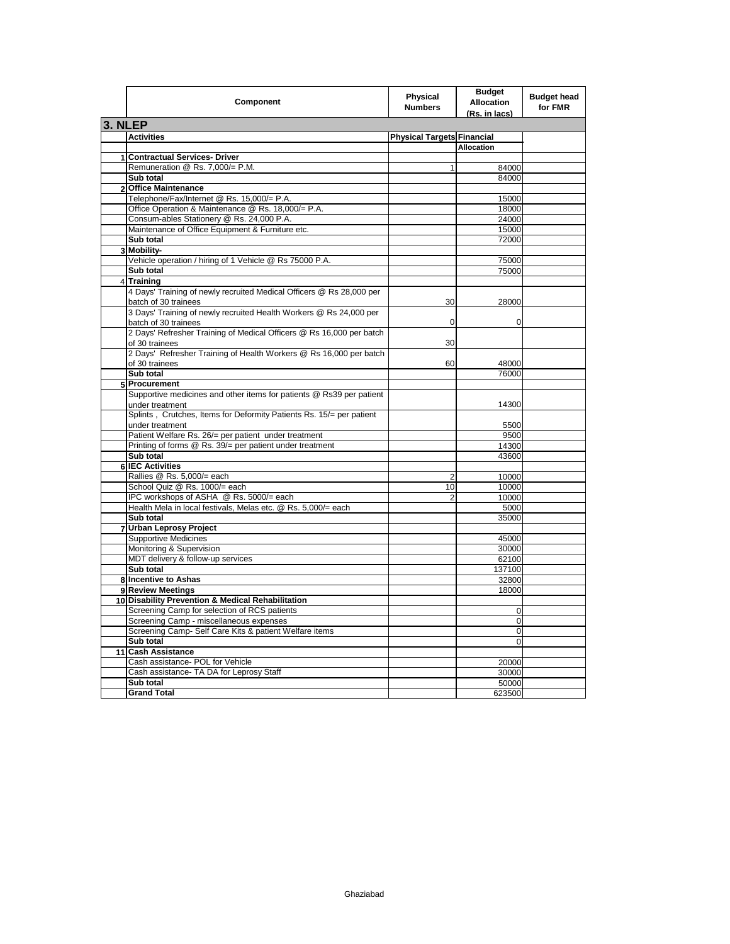|         | Component                                                            | <b>Physical</b><br><b>Numbers</b> | <b>Budget</b><br><b>Allocation</b><br>(Rs. in lacs) | <b>Budget head</b><br>for FMR |
|---------|----------------------------------------------------------------------|-----------------------------------|-----------------------------------------------------|-------------------------------|
| 3. NLEP |                                                                      |                                   |                                                     |                               |
|         | <b>Activities</b>                                                    | <b>Physical Targets Financial</b> |                                                     |                               |
|         |                                                                      |                                   | <b>Allocation</b>                                   |                               |
|         | 1 Contractual Services- Driver                                       |                                   |                                                     |                               |
|         | Remuneration @ Rs. 7,000/= P.M.                                      | 1                                 | 84000                                               |                               |
|         | Sub total                                                            |                                   | 84000                                               |                               |
|         | 2 Office Maintenance                                                 |                                   |                                                     |                               |
|         | Telephone/Fax/Internet @ Rs. 15,000/= P.A.                           |                                   | 15000                                               |                               |
|         | Office Operation & Maintenance @ Rs. 18,000/= P.A.                   |                                   | 18000                                               |                               |
|         | Consum-ables Stationery @ Rs. 24,000 P.A.                            |                                   | 24000                                               |                               |
|         | Maintenance of Office Equipment & Furniture etc.                     |                                   | 15000                                               |                               |
|         | Sub total                                                            |                                   | 72000                                               |                               |
|         | 3 Mobility-                                                          |                                   |                                                     |                               |
|         | Vehicle operation / hiring of 1 Vehicle @ Rs 75000 P.A.              |                                   | 75000                                               |                               |
|         | Sub total                                                            |                                   | 75000                                               |                               |
|         | 4 Training                                                           |                                   |                                                     |                               |
|         | 4 Days' Training of newly recruited Medical Officers @ Rs 28,000 per |                                   |                                                     |                               |
|         | batch of 30 trainees                                                 | 30                                | 28000                                               |                               |
|         | 3 Days' Training of newly recruited Health Workers @ Rs 24,000 per   |                                   |                                                     |                               |
|         | batch of 30 trainees                                                 | $\Omega$                          | $\Omega$                                            |                               |
|         | 2 Days' Refresher Training of Medical Officers @ Rs 16,000 per batch |                                   |                                                     |                               |
|         | of 30 trainees                                                       | 30                                |                                                     |                               |
|         | 2 Days' Refresher Training of Health Workers @ Rs 16,000 per batch   |                                   |                                                     |                               |
|         | of 30 trainees                                                       | 60                                | 48000                                               |                               |
|         | Sub total                                                            |                                   | 76000                                               |                               |
|         | 5 Procurement                                                        |                                   |                                                     |                               |
|         | Supportive medicines and other items for patients @ Rs39 per patient |                                   |                                                     |                               |
|         | under treatment                                                      |                                   | 14300                                               |                               |
|         | Splints, Crutches, Items for Deformity Patients Rs. 15/= per patient |                                   |                                                     |                               |
|         | under treatment                                                      |                                   | 5500                                                |                               |
|         | Patient Welfare Rs. 26/= per patient under treatment                 |                                   | 9500                                                |                               |
|         | Printing of forms @ Rs. 39/= per patient under treatment             |                                   | 14300                                               |                               |
|         | Sub total                                                            |                                   | 43600                                               |                               |
|         | 6 IEC Activities                                                     |                                   |                                                     |                               |
|         | Rallies @ Rs. 5,000/= each                                           | 2                                 | 10000                                               |                               |
|         | School Quiz @ Rs. 1000/= each                                        | 10                                | 10000                                               |                               |
|         | IPC workshops of ASHA @ Rs. 5000/= each                              | $\overline{2}$                    | 10000                                               |                               |
|         | Health Mela in local festivals, Melas etc. @ Rs. 5,000/= each        |                                   | 5000                                                |                               |
|         | Sub total                                                            |                                   | 35000                                               |                               |
|         | 7 Urban Leprosy Project                                              |                                   |                                                     |                               |
|         | <b>Supportive Medicines</b>                                          |                                   | 45000                                               |                               |
|         | Monitoring & Supervision                                             |                                   | 30000                                               |                               |
|         | MDT delivery & follow-up services                                    |                                   | 62100                                               |                               |
|         | Sub total                                                            |                                   | 137100                                              |                               |
|         | 8 Incentive to Ashas                                                 |                                   | 32800                                               |                               |
|         | 9 Review Meetings                                                    |                                   | 18000                                               |                               |
|         | 10 Disability Prevention & Medical Rehabilitation                    |                                   |                                                     |                               |
|         | Screening Camp for selection of RCS patients                         |                                   | 0                                                   |                               |
|         | Screening Camp - miscellaneous expenses                              |                                   | 0                                                   |                               |
|         | Screening Camp- Self Care Kits & patient Welfare items               |                                   | $\mathbf 0$                                         |                               |
|         | Sub total                                                            |                                   | $\mathbf 0$                                         |                               |
|         | 11 Cash Assistance                                                   |                                   |                                                     |                               |
|         | Cash assistance- POL for Vehicle                                     |                                   | 20000                                               |                               |
|         | Cash assistance- TA DA for Leprosy Staff                             |                                   | 30000                                               |                               |
|         | Sub total                                                            |                                   | 50000                                               |                               |
|         | <b>Grand Total</b>                                                   |                                   | 623500                                              |                               |
|         |                                                                      |                                   |                                                     |                               |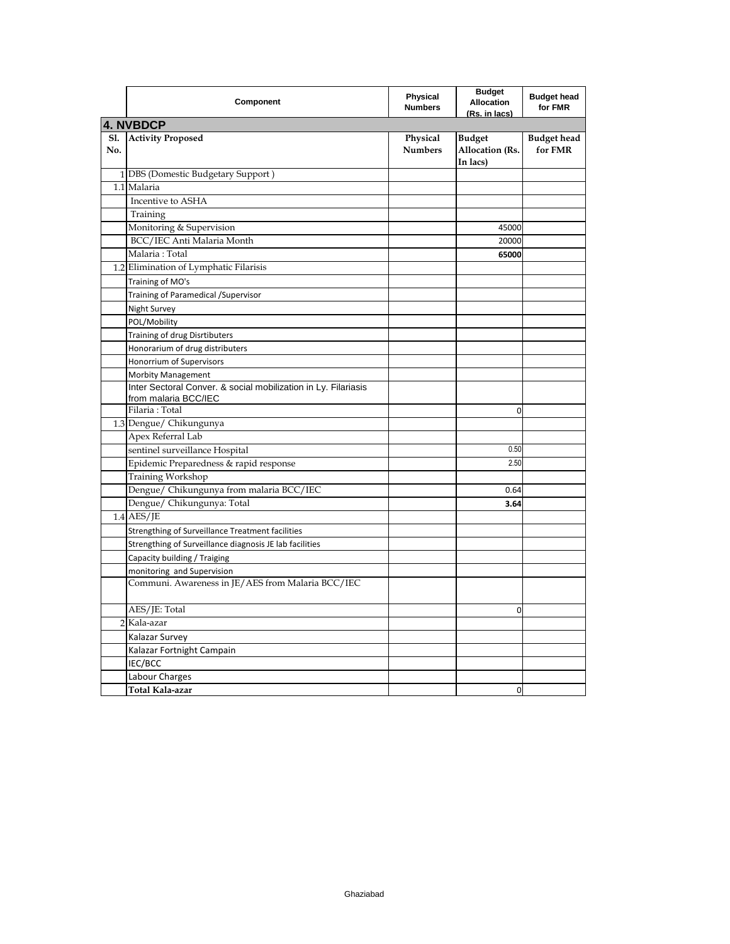|                   | Component                                                      | Physical<br><b>Numbers</b> | <b>Budget</b><br><b>Allocation</b><br>(Rs. in lacs) | <b>Budget head</b><br>for FMR |  |  |
|-------------------|----------------------------------------------------------------|----------------------------|-----------------------------------------------------|-------------------------------|--|--|
|                   | <b>4. NVBDCP</b>                                               |                            |                                                     |                               |  |  |
| <b>S1.</b><br>No. | <b>Activity Proposed</b>                                       | Physical<br><b>Numbers</b> | <b>Budget</b><br>Allocation (Rs.<br>In lacs)        | <b>Budget head</b><br>for FMR |  |  |
|                   | 1 DBS (Domestic Budgetary Support)                             |                            |                                                     |                               |  |  |
|                   | 1.1 Malaria                                                    |                            |                                                     |                               |  |  |
|                   | Incentive to ASHA                                              |                            |                                                     |                               |  |  |
|                   | Training                                                       |                            |                                                     |                               |  |  |
|                   | Monitoring & Supervision                                       |                            | 45000                                               |                               |  |  |
|                   | BCC/IEC Anti Malaria Month                                     |                            | 20000                                               |                               |  |  |
|                   | Malaria: Total                                                 |                            | 65000                                               |                               |  |  |
|                   | 1.2 Elimination of Lymphatic Filarisis                         |                            |                                                     |                               |  |  |
|                   | Training of MO's                                               |                            |                                                     |                               |  |  |
|                   | Training of Paramedical / Supervisor                           |                            |                                                     |                               |  |  |
|                   | Night Survey                                                   |                            |                                                     |                               |  |  |
|                   | POL/Mobility                                                   |                            |                                                     |                               |  |  |
|                   | Training of drug Disrtibuters                                  |                            |                                                     |                               |  |  |
|                   | Honorarium of drug distributers                                |                            |                                                     |                               |  |  |
|                   | Honorrium of Supervisors                                       |                            |                                                     |                               |  |  |
|                   | <b>Morbity Management</b>                                      |                            |                                                     |                               |  |  |
|                   | Inter Sectoral Conver. & social mobilization in Ly. Filariasis |                            |                                                     |                               |  |  |
|                   | from malaria BCC/IEC                                           |                            |                                                     |                               |  |  |
|                   | Filaria: Total                                                 |                            | 0                                                   |                               |  |  |
|                   | 1.3 Dengue/ Chikungunya                                        |                            |                                                     |                               |  |  |
|                   | Apex Referral Lab                                              |                            |                                                     |                               |  |  |
|                   | sentinel surveillance Hospital                                 |                            | 0.50                                                |                               |  |  |
|                   | Epidemic Preparedness & rapid response                         |                            | 2.50                                                |                               |  |  |
|                   | Training Workshop                                              |                            |                                                     |                               |  |  |
|                   | Dengue/ Chikungunya from malaria BCC/IEC                       |                            | 0.64                                                |                               |  |  |
|                   | Dengue/ Chikungunya: Total                                     |                            | 3.64                                                |                               |  |  |
|                   | $1.4$ AES/JE                                                   |                            |                                                     |                               |  |  |
|                   | Strengthing of Surveillance Treatment facilities               |                            |                                                     |                               |  |  |
|                   | Strengthing of Surveillance diagnosis JE lab facilities        |                            |                                                     |                               |  |  |
|                   | Capacity building / Traiging                                   |                            |                                                     |                               |  |  |
|                   | monitoring and Supervision                                     |                            |                                                     |                               |  |  |
|                   | Communi. Awareness in JE/AES from Malaria BCC/IEC              |                            |                                                     |                               |  |  |
|                   | AES/JE: Total                                                  |                            | 0                                                   |                               |  |  |
|                   | 2 Kala-azar                                                    |                            |                                                     |                               |  |  |
|                   | Kalazar Survey                                                 |                            |                                                     |                               |  |  |
|                   | Kalazar Fortnight Campain                                      |                            |                                                     |                               |  |  |
|                   | IEC/BCC                                                        |                            |                                                     |                               |  |  |
|                   | Labour Charges                                                 |                            |                                                     |                               |  |  |
|                   | Total Kala-azar                                                |                            | 0                                                   |                               |  |  |